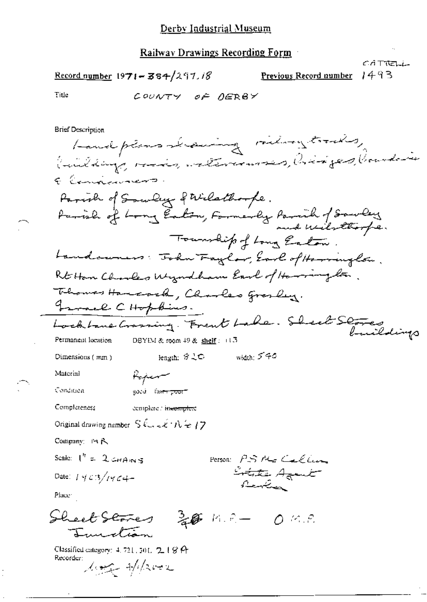CATTELL 1493

 $\frac{\text{Record number}}{354}$  1971 - 384/297.18

Previous Record number

Title

COUNTY OF DERBY

**Brief Description** 

Landplans Leaving railway tracks, Ruilding, ruis, valerinnes, Crispes, Crandeie E Candiavarent Farish of Soundry of Wilsthought. tarish of Long Eaton, Farmerly Parcial of Sourcey Township of Long Easton. Landowners: John Faylor, Earl of Herringlow. Rt Han Charles Wyndham Earl of Harrington. Thomas Hancock, Charles grasley. France CHopkins. Locktone Crossing. Frent Lake. Sheet Stores Permanent location DBYIM & room 49 & shelf: 日3 length: サミロ width: 540 Dimensions (mm) Material Kejem Condition good fa<del>ar poor</del> Completeness complete / inteemplete Original drawing number  $S \& \prec \& \forall k \in \{7, \ldots, \ell\}$ Company: 四八 Scale:  $I'' = 2 \epsilon_H A_H s_S$ Person: PS Me Callin Lotate Agent Date:  $1403/1464-$ Rentin Place: Sheet Stores  $\frac{1}{2}$   $\frac{2}{2}$   $\frac{2}{3}$   $\frac{1}{2}$   $\frac{2}{3}$   $\frac{1}{2}$   $\frac{1}{2}$   $\frac{1}{2}$   $\frac{1}{2}$   $\frac{1}{2}$   $\frac{1}{2}$   $\frac{1}{2}$   $\frac{1}{2}$   $\frac{1}{2}$   $\frac{1}{2}$   $\frac{1}{2}$   $\frac{1}{2}$   $\frac{1}{2}$   $\frac{1}{2}$   $\frac{1}{2}$   $\frac{1}{2}$   $\frac{1}{2}$  Irvincolian Classified category: 4, 721, 501, 2, 18 A Recorder:

long Albert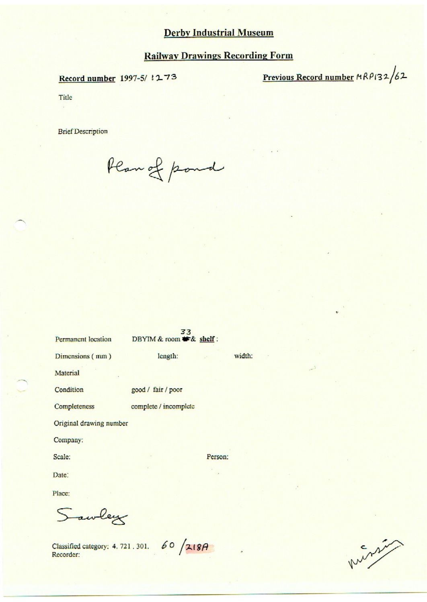## **Railway Drawings Recording Form**

## Record number 1997-5/1273

Previous Record number MRP132/62

Title

**Brief Description** 

Plan of pond

| <b>Permanent</b> location | 33<br>DBYIM & room * & shelf: |                |
|---------------------------|-------------------------------|----------------|
| Dimensions (mm)           | length:                       | width:<br>Sec. |
| Material                  |                               |                |
| Condition                 | good / fair / poor            |                |
| Completeness              | complete / incomplete         |                |
| Original drawing number   |                               |                |
| Company:                  |                               |                |
| Scale:                    |                               | Person:        |
| Date:                     |                               |                |
| Place:                    |                               |                |

Sawley

Classified category: 4, 721, 301. 60 /218A Recorder:

minis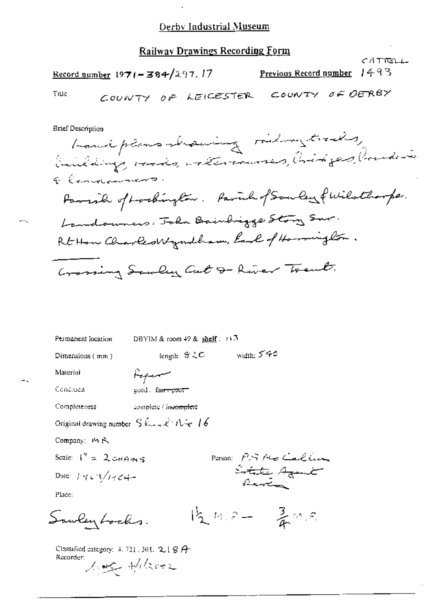## **Railway Drawings Recording Form**

CATTELL Previous Record number 1493 Record number  $1971 - 384/297.17$ COUNTY OF LEICESTER COUNTY OF DERBY Title **Brief Description** have plans showing riding trades, buildings, reads, welter courses, bridges, boundaries E Cancelaument ro i ar a a -a de a duia ro 1.

DBYIM & room  $49$  & shelf:  $\pm 13$ Permanent location  $\begin{array}{lll} \text{length:} & \text{``} \mathcal{L} \text{''} & \text{with:} & \text{``} \mathcal{L} \text{''} \text{''} \end{array}$ Dimensions (mm) Report Material Condition good. family poor Completeness complete / inco<del>mplete</del> Original drawing number  $S \& \prec \& \land \forall \prec \bot \delta$ Company: 19 A. Scale:  $I'' = 2 \cos \theta$  in s Purson P.S. He Callin State Agent Date:  $14.3/14.3$ Place:  $12.4.5 - \frac{3}{4}$  m.s. Sawley Locks.

Classified category:  $4.721.303$ ,  $2.18A$ Recorder: Loge Albert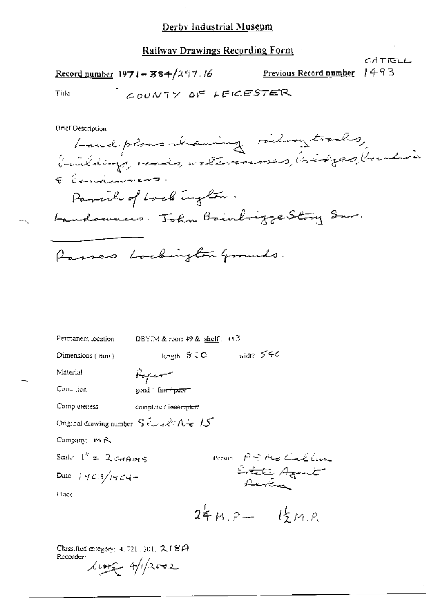**Railway Drawings Recording Form** 

Record number 1971 - 384/297.16

Previous Record number 1493

CATTELL

Title

$$
C_{\mathcal{L}\mathcal{O}\mathcal{U}}\mathcal{N}\uparrow\gamma\circ\mathsf{F} \text{ hence} \mathsf{S}\tau\in\mathbb{R}
$$

**Brief Description** 

Landplans strawing riding trades, buildings, rads, watercourses, bidges, boundarie Elingenment. Parish of Lockington. Landowners: John Bainbrigge Story Sav. Passes Lockington Grounds.

DBYIM & room  $49$  & shelf:  $0.3$ Permanent location

Dimensions (mm)

length:  $$CO$  width: 540

Material Condition

سيريبهين good. fa<del>n i poor</del>

Completeness complete / ineemplete

Original drawing number  $S \& + \epsilon \& + \hbar + \sqrt{S}$ 

Company: MR

Scale  $1^h = 2$  CHAINS

Date  $1463/1464-$ 

Person P.S. Mo Caller Litate Agent

Place:

 $24M.P - 12M.P$ 

Classified category:  $4, 721, 301, 2, 18P$ Recorder:

 $\mu_{\text{max}}$  approval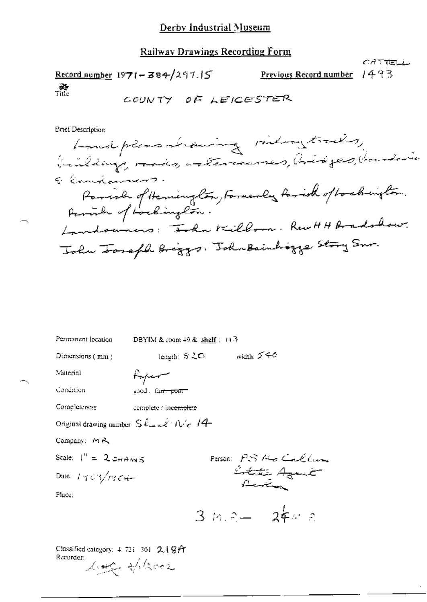## **Railway Drawings Recording Form**

 $CATTELL$ Record number  $1971 - 384/297.15$ Previous Record number 1493  $\frac{1}{2}$  . COUNTY OF LEICESTER

Bnef Description

 $\overline{\phantom{a}}$ 

| Permanent location                                                                                              | DBYIM & room $49$ & shelf: $11.3$ |                |                      |
|-----------------------------------------------------------------------------------------------------------------|-----------------------------------|----------------|----------------------|
| Dimensions (mm)                                                                                                 | length: ゔこつ                       | width: $5 - 6$ |                      |
| Material                                                                                                        | frjem                             |                |                      |
| Condition                                                                                                       | good and poor                     |                |                      |
| Completeness                                                                                                    | complete / in <del>complete</del> |                |                      |
| Original drawing number $\mathop{\mathrm{S}}\nolimits\mathcal{E}$ and $\mathcal{E}/\mathcal{N}_\mathcal{E}/4$ . |                                   |                |                      |
| Company: MA                                                                                                     |                                   |                |                      |
| Scale: $1'' = 2$ CHAINS                                                                                         |                                   |                |                      |
| Date: $1.403/1404-$                                                                                             |                                   |                | Person: PS Me Callum |
| Place:                                                                                                          |                                   |                |                      |
|                                                                                                                 |                                   |                | $3$ m.e $24x$ e      |
|                                                                                                                 |                                   |                |                      |

Classified category: 4, 723-301 2.1 GA Recurdent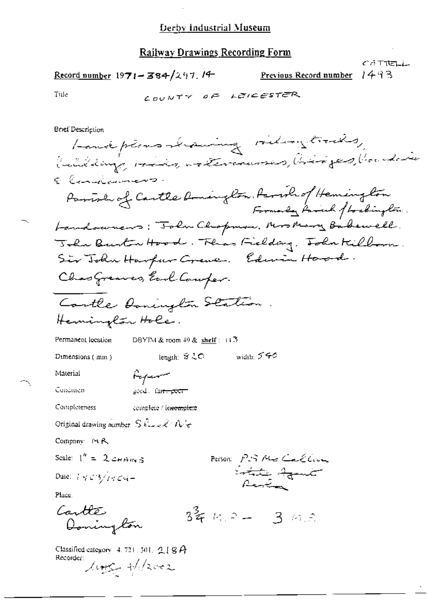Record number  $1971 - 384/297$ . 14

1493 Previous Record number

CATTELL

Title

COUNTY OF LEICESTER

**Brief Description** 

Landplans strawing riding trades, building, ride, arteranses, biriges, banderie E Canalaimens. Parish of Cartle Aminglon, Parish of Heminglon Formorly Farrick flockington. Landowners: "John Chopman, Mrs Mary Babewell. John Burton Hood. Thas Fielday. John Killman. Sir John Harfur Crewe. Edwin Hard. Chas Greaves, Earl Comper. Contle Donington Station Hemington Hole. DBYIM & room  $49$  & shelf: (1.3) Permanent lecation length: 台ミC - - - width: ブチの Dimensions (mm) Material Referen Condition good fa<del>n poor</del> Completeness complete / in<del>complete</del> Original drawing number  $\left\|\mathbb{S}\right\|_{\mathbb{R}\times\mathbb{R}}\times\left\|\mathcal{N}\right\|_{\mathcal{C}}$ Company MR Scale:  $1'' = 2 \cos \theta$  m 5 Person PS Me Callin Istate Agent Dute:  $7423/1464 -$ Place. Cartles  $3^2$  m  $3-3$  m  $3$ Donington

Classified category 4, 721, 301,  $2$ , [  $8$   $A$ Recorder:

 $\mu_{\text{eff}}$  +/2002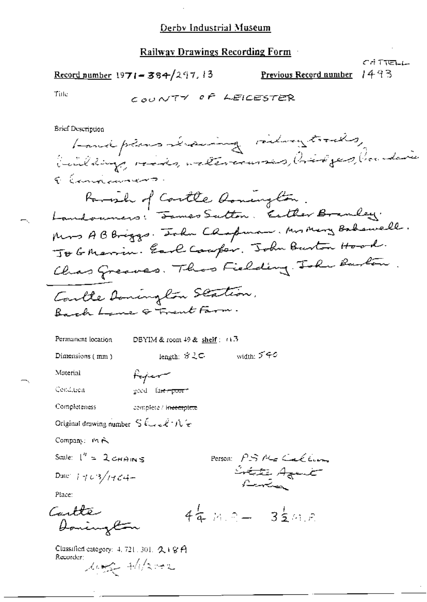### Railway Drawings Recording Form

$$
\underline{\text{Record number 1971} = 384/297.13}
$$

1493 Previous Record number

سابتاتة أناثر

Tiile

**Brief Description** 

Permanent location

DBYIM & room 49 & shelf: (13)

Dimensions (mm)

length: ゔえ⊂ width: ブチン

Person PSNGCACCION

 $44.7 - 32.47$ 

li<del>tat</del>e Agent

Material

Cenditien

Completeness complete / intemplete

Poper

good fa<del>ir spoor</del>

Original drawing number  $S$   $\ell \rightarrow \ell^* N$  or

Company: MR

Scale:  $I'' = 2cmans$ 

Date:  $1403/1464-$ 

Place:

Cartte Donington

Classified category: 4, 721, 301, 2, 1 8 A Recorder:

ling +/1/2002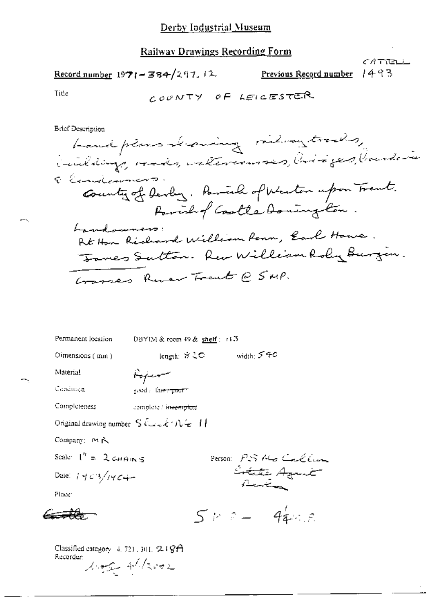Record number 1971-384/297.12 Previous Record number

CATROLL 1493

Title

---

**Brief Description** 

Permanent location DBYIM & room 49 & shelf : r13

Dimensions (min)

length:  $\beta$  20 width: 540

Material Condition Poper good / fairs poor t

Completeness

complete / in<del>ieoniplete</del>

Original drawing number  $\left. \text{S}\right. \mathcal{L}_{\text{max}}\mathcal{L}\cdot \mathcal{N}\mathcal{L}\cdot \mathcal{N}$ 

Company: MR

Scale:  $I'' = 2 \cos \theta$  in 5

Date:  $1403/1404$ 

Place

a <del>a 12.</del>

Person: PSAGCalling Create Agent

 $5.7.2 - 44.2.8$ 

Classified category 4, 721, 301, 249A Recorder: Mag Alzoor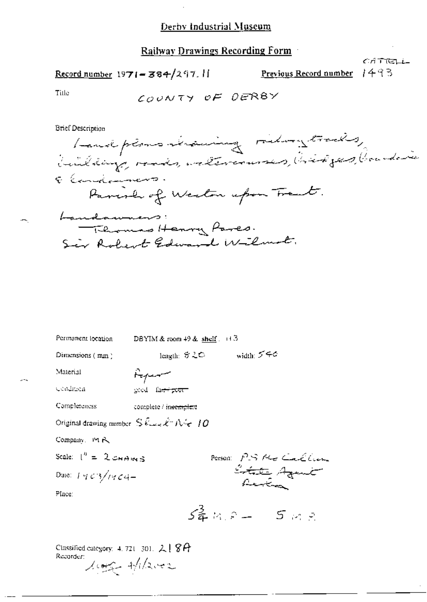$\overline{a}$ 

# **Railway Drawings Recording Form**

$$
\underline{\text{Record number}} 1971 = 384/297.11
$$

1493 Previous Record number

CATTELL

Title

55

**Brief Description** 

| Permanent location                                                      |       | DBYIM & room $+9$ & shelf $\therefore$ $+3$ |             |                       |  |
|-------------------------------------------------------------------------|-------|---------------------------------------------|-------------|-----------------------|--|
| Dimensions (mm)                                                         |       |                                             | length: ゔこつ | width: グチの            |  |
| Material                                                                | سيميه |                                             |             |                       |  |
| Condition                                                               |       | good fa <del>ll poor</del>                  |             |                       |  |
| Completeness                                                            |       | complete / in <del>ecmplet</del> e          |             |                       |  |
| Original drawing number $S \& \rightarrow \hat{\mathcal{K}}$ $N \in 10$ |       |                                             |             |                       |  |
| Company. Pt R                                                           |       |                                             |             |                       |  |
| Scale: $\binom{n}{k} = 2$ CHAINS                                        |       |                                             |             |                       |  |
| Date: $1403/1404-$                                                      |       |                                             |             | Person: PS Me Callian |  |
| Place:                                                                  |       |                                             |             |                       |  |
|                                                                         |       |                                             |             | $5408 - 508$          |  |
|                                                                         |       |                                             |             |                       |  |

Classified category: 4, 721-301, 218A Recorder:<br>1000 +12002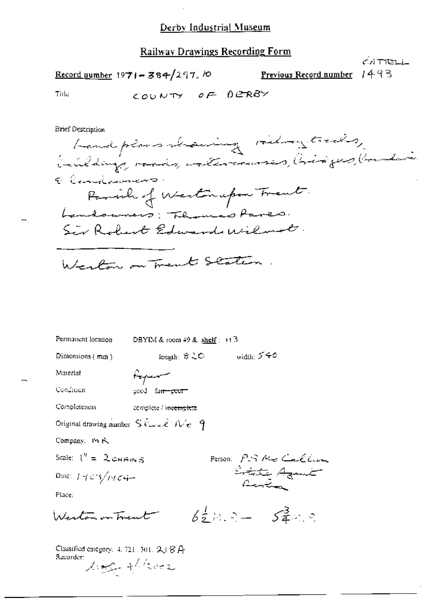#### **Railway Drawings Recording Form**

CATTELL Record number  $1971 - 384/297$ , lo 1493 Previous Record number

Tiile

COUNTY OF DERBY

**Brief Description** 

Landplans showing riding trading ( Lillings, rads, watercourses, Cridges, Counter E Consideration Parish of Westerupon Trent. Landouners: Themas Pares. Sir Robert Edwards Wilmot. Weston on Trent Station

Permanent location DBYIM & room 49 & shelf:  $(13$ iength: サこの width: 540 Dimensions (mm) Material Hyer Condition good fa<del>ir poor</del> Completeness complete / incemplete Original drawing number  $S\cos\epsilon/\hbar\epsilon = 9$ Company: Pt R. Scale:  $1'' = 2cm + m \le$ Person PS Me Callin liste Aguit Date:  $1403/1404-$ Place:  $6\frac{1}{2}$  M, 2 -  $5\frac{3}{4}$  m, 2 Wester on Trent Classified category: 4, 721, 301,  $2\sqrt{8}$   $A$ Recorder: Loge + Book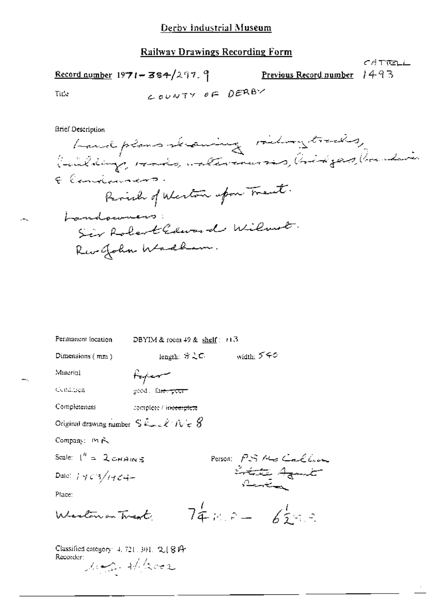ساقاتات 17 Record number 1971 - 384/297. 9 Previous Record number 1493 COUNTY OF DERBY Title

**Brief Description** 

 $\overline{a}$ 

bandplans shawing riding tracks, Calibrary roads, attentions , Oridges, Condai Elendianamo. Parish of Weston upon Trent. Landonners: Six Robert Edward Wilmot. Revellohn Wadhem.

| Permanent location                                                                        | DBYIM & room $49$ & shelf: $+13$ |  |  |
|-------------------------------------------------------------------------------------------|----------------------------------|--|--|
| Dimensions $(mn)$                                                                         | width: $550$<br>length: ゔこ⊂      |  |  |
| Material                                                                                  | Hajar                            |  |  |
| Cendrich                                                                                  | good, la <del>m-peur</del>       |  |  |
| Completeness                                                                              | complete / in <del>centure</del> |  |  |
| Original drawing number $S \mathcal{L}_{\text{max}} \ell / \mathcal{N}_{\text{tr}} \beta$ |                                  |  |  |
| Company: 19 A                                                                             |                                  |  |  |
| Scale: $I'' = 2cmams$                                                                     | Person: PS Me Callum             |  |  |
| Date: $1463/1464-$                                                                        | Lotte Agent<br>المتسخير          |  |  |
| Phice:                                                                                    |                                  |  |  |
| $74.8 - 65$<br>Western on Treat                                                           |                                  |  |  |
| Classified category: 4, 721, 301, 2, [ 8 f4<br>Recorder:<br>Mage Have                     |                                  |  |  |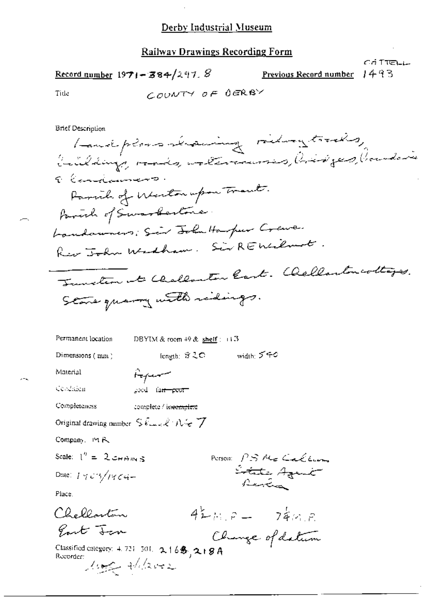Record number  $1971 - 384/297$ . 8

1493 Previous Record number

CÁ TIELL

Tide

COUNTY OF OERBY

**Brief Description** 

Landplans seraning riding trading buildings, reads, watercourses, bisiges, banderie Elendament. Parcial of Weston upon Trant. formul of Swarbertone. Landaumers; Sier John Harper Crewe. Riv John Widham. Sir REWilmot. Tunction at Challanter Cart. Chellaston coltages. Stone quarry with ridings.

fength: #20 width: 540

Permanent location DBYIM & room  $49$  & shelf :  $+3$ 

Dimensions (min)

Aguar

good fa<del>n poor</del>

Cendragu

Material

Completeness complete / in<del>eomplet</del>e

Original drawing number  $S \& L \& R \& R$ 

Company, 19 R.

Place.

Scale:  $1'' = 2 \cos \theta$  m s

Date:  $1703/1764-$ 

Chellarton

Part Jan

Person PS Me Carley Lotate Agent Renden)

 $42mP - 74mP$ 

Clunge of datum

Classified category: 4.721-501. 2.165, 2.19A<br>Recorder:<br> $\sqrt{(\sqrt{2\sqrt{2}})^2}$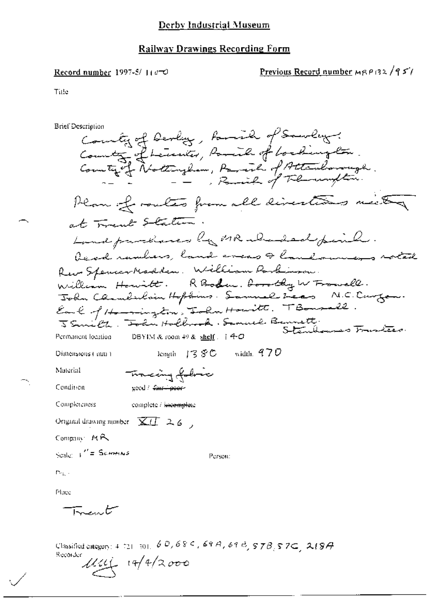#### Record number 1997-8/11000

# Previous Record number MRP132/951

Tiffe

**Brief Description** County of Devly, formile of Sourcey.<br>County of Leinier, formile of bookington.<br>County of Nottingham, Pareil of Attendancingh. Plan of routes from all directions mich at Trent Staten. Land partiaces by MR aborded peril. Read rankers, land areas & landowns rotal Rew SpencerMadden. William Parlinson.<br>William Howitt. RBoden. Borothy W Fromall.<br>John Chamberlain Hopdins. Samuel Icas N.C. Curgan.<br>Earl of Homington, John Houitt. TBonsall.<br>JSmith. John Holbrock. Samuel Bennett.<br>Perman ho DBYIM & room 49 & shelf  $\div$  4-O Permanent location length  $138C$  width  $470$ Dimensions (mm) Tracing folice Material Condition - good / <del>faar - paar</del>-Completeness complete / i<del>ncomple</del>te Original drawing number  $\overline{XH}$  2.6, Company: MR Scale:  $\frac{1}{2}$  Schools Person:  $m_{\rm in}$  . Place <del>Trent</del>

Classified category:  $4.721 - 301$ ,  $6.0$ ,  $6.8$  S,  $6.6$  S,  $6.9$  H,  $6.9$  H,  $5.7B$ ,  $5.7C$ ,  $2.19A$ Reconder  $111/2000$